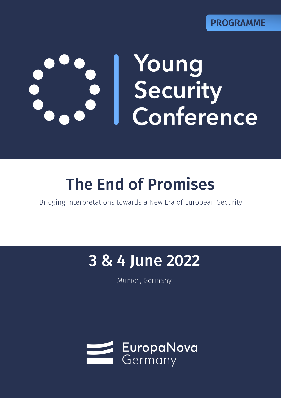# **Young<br>Security<br>Conference**

# The End of Promises

Bridging Interpretations towards a New Era of European Security

# 3 & 4 June 2022

Bridging interpretations towards a new era of European security

Munich, Germany

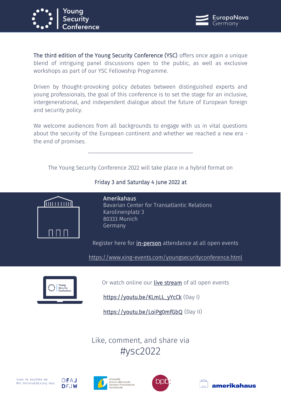



The third edition of the Young Security Conference (YSC) offers once again a unique blend of intriguing panel discussions open to the public, as well as exclusive workshops as part of our YSC Fellowship Programme.

Driven by thought-provoking policy debates between distinguished experts and young professionals, the goal of this conference is to set the stage for an inclusive, intergenerational, and independent dialogue about the future of European foreign and security policy.

We welcome audiences from all backgrounds to engage with us in vital questions about the security of the European continent and whether we reached a new era the end of promises.

The Young Security Conference 2022 will take place in a hybrid format on



# Friday 3 and Saturday 4 June 2022 at

Amerikahaus Bavarian Center for Transatlantic Relations Karolinenplatz 3 80333 Munich Germany

Register here for in-person attendance at all open events

https://www.xing-events.com/youngsecurityconference.html



Or watch online our live stream of all open events

[https://youtu.be/KLmLL\\_yYcCk](https://youtu.be/KLmLL_yYcCk) (Day I)

<https://youtu.be/LoiPg0mfGbQ> (Day II)

Like, comment, and share via #ysc2022







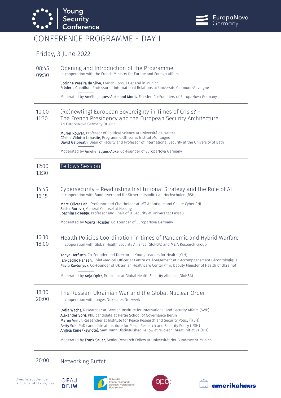



# CONFERENCE PROGRAMME - DAY I

### Friday, 3 June 2022

- 08:45 Opening and Introduction of the Programme
- 09:30 In cooperation with the French Ministry for Europe and Foreign Affairs

Corinne Pereira da Silva, French Consul General in Munich Frédéric Charillon, Professor of International Relations at Université Clermont-Auvergne

Moderated by Amélie Jaques-Apke and Moritz Flössler, Co-Founders of EuropaNova Germany

#### 10:00 11:30 (Re)new(ing) European Sovereignty in Times of Crisis? – The French Presidency and the European Security Architecture An EuropaNova Germany Original

Muriel Rouyer, Professor of Political Science at Université de Nantes Cécilia Vidotto Labastie, Programme Officer at Institut Montaigne David Galbreath, Dean of Faculty and Professor of International Security at the University of Bath

Moderated by Amélie Jaques-Apke, Co-Founder of EuropaNova Germany

| 12.00 | Fellows Session. |
|-------|------------------|
|       |                  |

#### 13:30

#### 14:45 Cybersecurity – Readjusting Institutional Strategy and the Role of AI

16:15 In cooperation with Bundesverband für Sicherheitspolitik an Hochschulen (BSH)

> Marc-Oliver Pahl, Professor and Chairholder at IMT Atlantique and Chaire Cyber CNI Sasha Borovik, General Counsel at Helsing Joachim Posegga*,* Professor and Chair of IT Security at Universität Passau

Moderated by Moritz Flössler, Co-Founder of EuropaNova Germany

#### 16:30 Health Policies Coordination in times of Pandemic and Hybrid Warfare

18:00 In cooperation with Global Health Security Alliance (GloHSA) and MEIA Research Group

> Tanya Herfurth, Co-Founder and Director at Young Leaders for Health (YLH) Jan-Cedric Hansen, Chief Medical Officer at Centre d'Hébergement et d'Accompagnement Gérontologique Pavlo Kovtonyuk, Co-Founder of Ukrainian Healthcare Center (fmr. Deputy Minister of Health of Ukraine)

Moderated by Anja Opitz, President at Global Health Security Alliance (GloHSA)

#### 18:30 The Russian-Ukrainian War and the Global Nuclear Order

 $20:00$ In cooperation with Junges Nukleares Netzwerk

> Lydia Wachs, Researcher at German Institute for International and Security Affairs (SWP) Alexander Sorg, PhD candidate at Hertie School of Governance Berlin Maren Vieluf, Researcher at Institute for Peace Research and Security Policy (IFSH) Betty Suh, PhD candidate at Institute for Peace Research and Security Policy (IFSH) Angela Kane (keynote), Sam Nunn Distinguished Fellow at Nuclear Threat Initiative (NTI)

> Moderated by Frank Sauer, Senior Research Fellow at Universität der Bundeswehr Munich

# 20:00 Networking Buffet







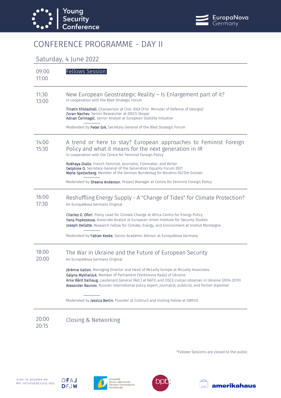



# CONFERENCE PROGRAMME - DAY II

## Saturday, 4 June 2022

| 09:00<br>11:00 | <b>Fellows Session</b>                                                                                                                                                                                                                                                                                                                                                   |
|----------------|--------------------------------------------------------------------------------------------------------------------------------------------------------------------------------------------------------------------------------------------------------------------------------------------------------------------------------------------------------------------------|
| 11:30<br>13:00 | New European Geostrategic Reality – Is Enlargement part of it?<br>In cooperation with the Bled Strategic Forum                                                                                                                                                                                                                                                           |
|                | Tinatin Khidasheli, Chairperson at Civic IDEA (Fmr. Minister of Defence of Georgia)<br>Zoran Nechev, Senior Researcher at IDSCS Skopje<br>Adnan Cerimagić, Senior Analyst at European Stability Initiative                                                                                                                                                               |
|                | Moderated by Peter Grk, Secretary General of the Bled Strategic Forum                                                                                                                                                                                                                                                                                                    |
| 14:00<br>15:30 | A trend or here to stay? European approaches to Feminist Foreign<br>Policy and what it means for the next generation in IR<br>In cooperation with the Centre for Feminist Foreign Policy                                                                                                                                                                                 |
|                | Rokhaya Diallo, French Feminist, Journalist, Filmmaker, and Writer<br>Delphine O, Secretary-General of the Generation Equality Forum 2021<br>Merle Spellerberg, Member of the German Bundestag for Bündnis 90/Die Grünen                                                                                                                                                 |
|                | Moderated by Sheena Anderson, Project Manager at Centre for Feminist Foreign Policy                                                                                                                                                                                                                                                                                      |
| 16:00<br>17:30 | Reshuffling Energy Supply - A "Change of Tides" for Climate Protection?<br>An EuropaNova Germany Original                                                                                                                                                                                                                                                                |
|                | Charles G. Ofori, Policy Lead for Climate Change at Africa Centre for Energy Policy<br>Yana Popkostova, Associate Analyst at European Union Institute for Security Studies<br>Joseph Dellatte, Research Fellow for Climate, Energy, and Environment at Institut Montaigne                                                                                                |
|                | Moderated by <b>Fabian Keske</b> , Senior Academic Advisor at EuropaNova Germany                                                                                                                                                                                                                                                                                         |
| 18:00<br>20:00 | The War in Ukraine and the Future of European Security<br>An EuropaNova Germany Original                                                                                                                                                                                                                                                                                 |
|                | Jérémie Gallon, Managing Director and Head of McLarty Europe at McLarty Associates<br>Galyna Mykhailiuk, Member of Parliament (Verkhovna Rada) of Ukraine<br>Arne Bård Dalhaug, Lieutenant General (Ret.) at NATO and OSCE civilian observer in Ukraine (2016-2019)<br>Alexander Baunov, Russian international policy expert, journalist, publicist, and former diplomat |
|                | Moderated by Jessica Berlin, Founder at CoStruct and Visiting Fellow at GMFUS                                                                                                                                                                                                                                                                                            |
| 20:00<br>20:15 | Closing & Networking                                                                                                                                                                                                                                                                                                                                                     |

\*Fellows Sessions are closed to the public







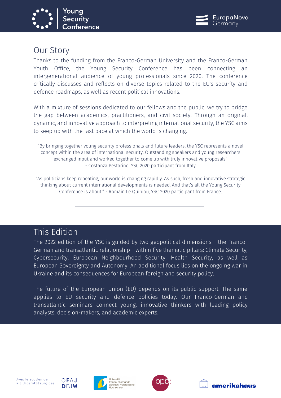



# Our Story

Thanks to the funding from the Franco-German University and the Franco-German Youth Office, the Young Security Conference has been connecting an intergenerational audience of young professionals since 2020. The conference critically discusses and reflects on diverse topics related to the EU's security and defence roadmaps, as well as recent political innovations.

With a mixture of sessions dedicated to our fellows and the public, we try to bridge the gap between academics, practitioners, and civil society. Through an original, dynamic, and innovative approach to interpreting international security, the YSC aims to keep up with the fast pace at which the world is changing.

"By bringing together young security professionals and future leaders, the YSC represents a novel concept within the area of international security. Outstanding speakers and young researchers exchanged input and worked together to come up with truly innovative proposals" - Costanza Pestarino, YSC 2020 participant from Italy

"As politicians keep repeating, our world is changing rapidly. As such, fresh and innovative strategic thinking about current international developments is needed. And that's all the Young Security Conference is about." - Romain Le Quiniou, YSC 2020 participant from France.

# This Edition

The 2022 edition of the YSC is guided by two geopolitical dimensions - the Franco-German and transatlantic relationship - within five thematic pillars: Climate Security, Cybersecurity, European Neighbourhood Security, Health Security, as well as European Sovereignty and Autonomy. An additional focus lies on the ongoing war in Ukraine and its consequences for European foreign and security policy.

The future of the European Union (EU) depends on its public support. The same applies to EU security and defence policies today. Our Franco-German and transatlantic seminars connect young, innovative thinkers with leading policy analysts, decision-makers, and academic experts.